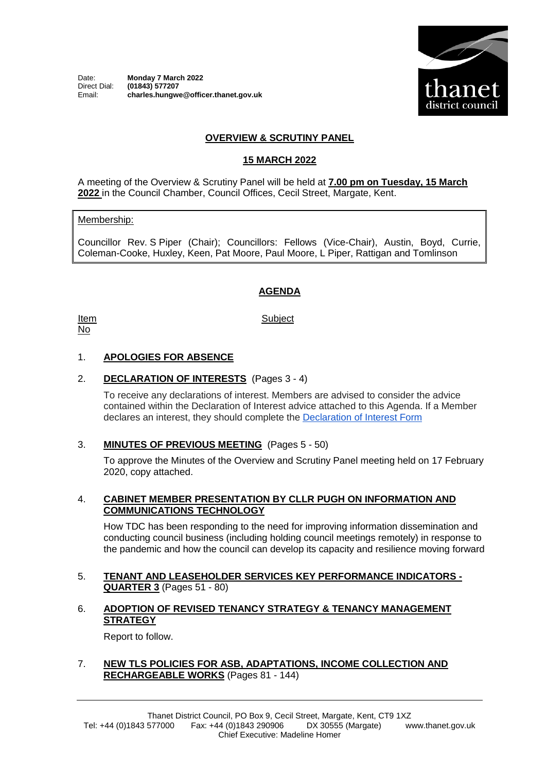

# **OVERVIEW & SCRUTINY PANEL**

## **15 MARCH 2022**

A meeting of the Overview & Scrutiny Panel will be held at **7.00 pm on Tuesday, 15 March 2022** in the Council Chamber, Council Offices, Cecil Street, Margate, Kent.

#### Membership:

Councillor Rev. S Piper (Chair); Councillors: Fellows (Vice-Chair), Austin, Boyd, Currie, Coleman-Cooke, Huxley, Keen, Pat Moore, Paul Moore, L Piper, Rattigan and Tomlinson

## **AGENDA**

Item No

**Subject** 

## 1. **APOLOGIES FOR ABSENCE**

#### 2. **DECLARATION OF INTERESTS** (Pages 3 - 4)

To receive any declarations of interest. Members are advised to consider the advice contained within the Declaration of Interest advice attached to this Agenda. If a Member declares an interest, they should complete the [Declaration of Interest Form](https://docs.google.com/forms/d/e/1FAIpQLSdYy7shF1kh6tvdSh3acxVRm70cKPLFkRBFNyVx2TgejRcm4w/viewform?usp=sf_link)

## 3. **MINUTES OF PREVIOUS MEETING** (Pages 5 - 50)

To approve the Minutes of the Overview and Scrutiny Panel meeting held on 17 February 2020, copy attached.

#### 4. **CABINET MEMBER PRESENTATION BY CLLR PUGH ON INFORMATION AND COMMUNICATIONS TECHNOLOGY**

How TDC has been responding to the need for improving information dissemination and conducting council business (including holding council meetings remotely) in response to the pandemic and how the council can develop its capacity and resilience moving forward

#### 5. **TENANT AND LEASEHOLDER SERVICES KEY PERFORMANCE INDICATORS - QUARTER 3** (Pages 51 - 80)

## 6. **ADOPTION OF REVISED TENANCY STRATEGY & TENANCY MANAGEMENT STRATEGY**

Report to follow.

#### 7. **NEW TLS POLICIES FOR ASB, ADAPTATIONS, INCOME COLLECTION AND RECHARGEABLE WORKS** (Pages 81 - 144)